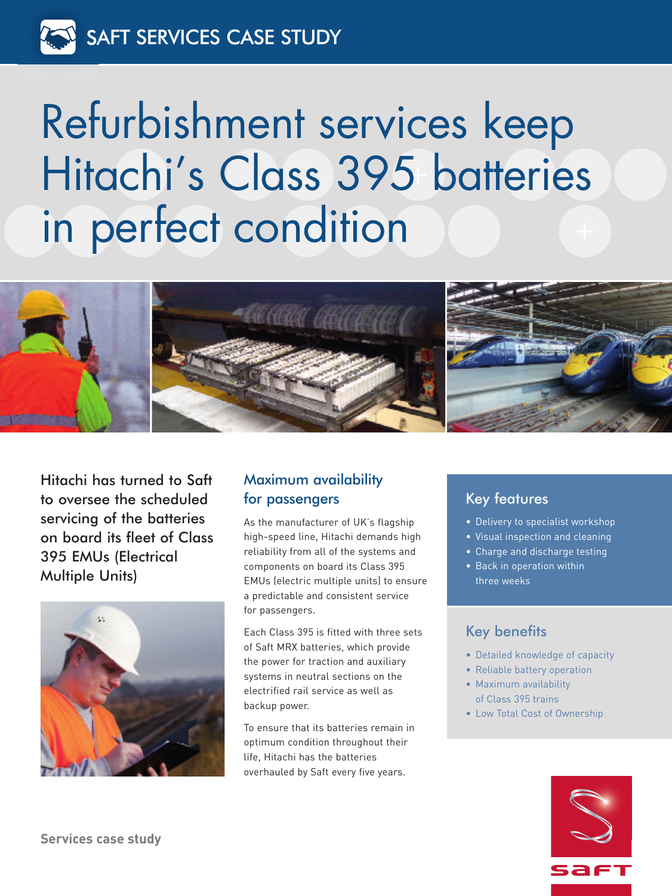# Refurbishment services keep Hitachi' s Class 395 batteries in perfect condition



Hitachi has turned to Saft to oversee the scheduled servicing of the batteries on board its fleet of Class 395 EMUs (Electrical Multiple Units)



# Maximum availability for passengers

As the manufacturer of UK's flagship high-speed line, Hitachi demands high reliability from all of the systems and components on board its Class 395 EMUs (electric multiple units) to ensure a predictable and consistent service for passengers.

Each Class 395 is fitted with three sets of Saft MRX batteries, which provide the power for traction and auxiliary systems in neutral sections on the electrified rail service as well as backup power.

To ensure that its batteries remain in optimum condition throughout their life, Hitachi has the batteries overhauled by Saft every five years.

# Key features

- Delivery to specialist workshop
- Visual inspection and cleaning
- Charge and discharge testing
- Back in operation within three weeks

# Key benefits

- Detailed knowledge of capacity
- Reliable battery operation • Maximum availability
- of Class 395 trains
- Low Total Cost of Ownership